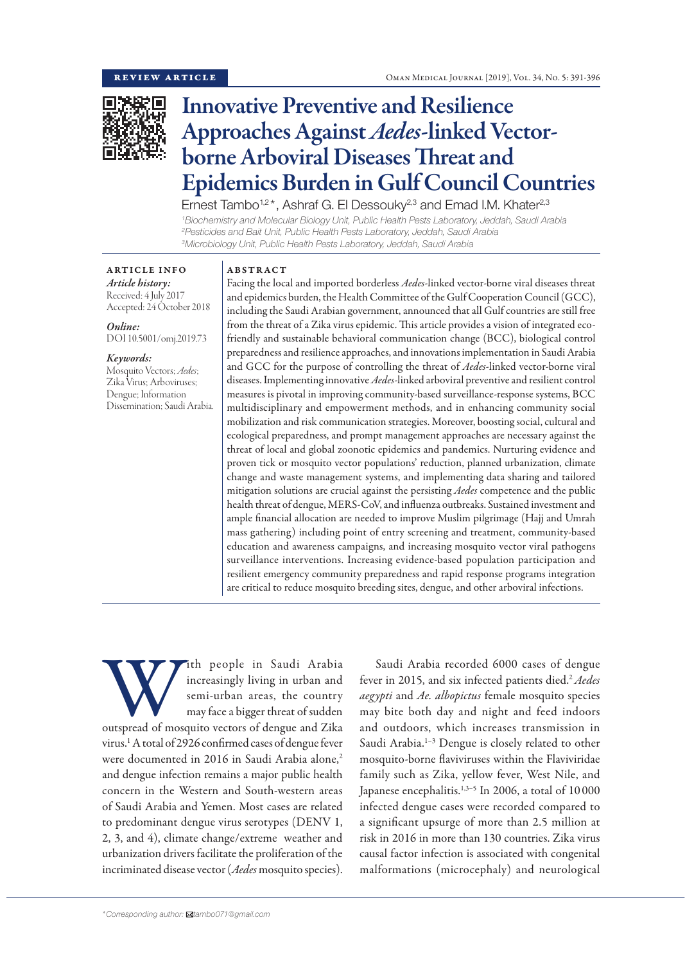

# Innovative Preventive and Resilience Approaches Against *Aedes*-linked Vectorborne Arboviral Diseases Threat and Epidemics Burden in Gulf Council Countries

Ernest Tambo<sup>1,2\*</sup>, Ashraf G. El Dessouky<sup>2,3</sup> and Emad I.M. Khater<sup>2,3</sup>

*1 Biochemistry and Molecular Biology Unit, Public Health Pests Laboratory, Jeddah, Saudi Arabia 2 Pesticides and Bait Unit, Public Health Pests Laboratory, Jeddah, Saudi Arabia 3 Microbiology Unit, Public Health Pests Laboratory, Jeddah, Saudi Arabia*

ARTICLE INFO *Article history:* Received: 4 July 2017 Accepted: 24 October 2018

*Online:* DOI 10.5001/omj.2019.73

*Keywords:* 

Mosquito Vectors; *Aedes*; Zika Virus; Arboviruses; Dengue; Information Dissemination; Saudi Arabia.

#### ABSTRACT

Facing the local and imported borderless *Aedes*-linked vector-borne viral diseases threat and epidemics burden, the Health Committee of the Gulf Cooperation Council (GCC), including the Saudi Arabian government, announced that all Gulf countries are still free from the threat of a Zika virus epidemic. This article provides a vision of integrated ecofriendly and sustainable behavioral communication change (BCC), biological control preparedness and resilience approaches, and innovations implementation in Saudi Arabia and GCC for the purpose of controlling the threat of *Aedes*-linked vector-borne viral diseases. Implementing innovative *Aedes*-linked arboviral preventive and resilient control measures is pivotal in improving community-based surveillance-response systems, BCC multidisciplinary and empowerment methods, and in enhancing community social mobilization and risk communication strategies. Moreover, boosting social, cultural and ecological preparedness, and prompt management approaches are necessary against the threat of local and global zoonotic epidemics and pandemics. Nurturing evidence and proven tick or mosquito vector populations' reduction, planned urbanization, climate change and waste management systems, and implementing data sharing and tailored mitigation solutions are crucial against the persisting *Aedes* competence and the public health threat of dengue, MERS-CoV, and influenza outbreaks. Sustained investment and ample financial allocation are needed to improve Muslim pilgrimage (Hajj and Umrah mass gathering) including point of entry screening and treatment, community-based education and awareness campaigns, and increasing mosquito vector viral pathogens surveillance interventions. Increasing evidence-based population participation and resilient emergency community preparedness and rapid response programs integration are critical to reduce mosquito breeding sites, dengue, and other arboviral infections.

With people in Saudi Arabia<br>
increasingly living in urban and<br>
semi-urban areas, the country<br>
may face a bigger threat of sudden<br>
outspread of mosquito vectors of dengue and Zika increasingly living in urban and semi-urban areas, the country may face a bigger threat of sudden virus.1 A total of 2926 confirmed cases of dengue fever were documented in 2016 in Saudi Arabia alone,<sup>2</sup> and dengue infection remains a major public health concern in the Western and South-western areas of Saudi Arabia and Yemen. Most cases are related to predominant dengue virus serotypes (DENV 1, 2, 3, and 4), climate change/extreme weather and urbanization drivers facilitate the proliferation of the incriminated disease vector (*Aedes* mosquito species).

Saudi Arabia recorded 6000 cases of dengue fever in 2015, and six infected patients died.<sup>2</sup> Aedes *aegypti* and *Ae. albopictus* female mosquito species may bite both day and night and feed indoors and outdoors, which increases transmission in Saudi Arabia.<sup>1-3</sup> Dengue is closely related to other mosquito-borne flaviviruses within the Flaviviridae family such as Zika, yellow fever, West Nile, and Japanese encephalitis.<sup>1,3-5</sup> In 2006, a total of 10000 infected dengue cases were recorded compared to a significant upsurge of more than 2.5 million at risk in 2016 in more than 130 countries. Zika virus causal factor infection is associated with congenital malformations (microcephaly) and neurological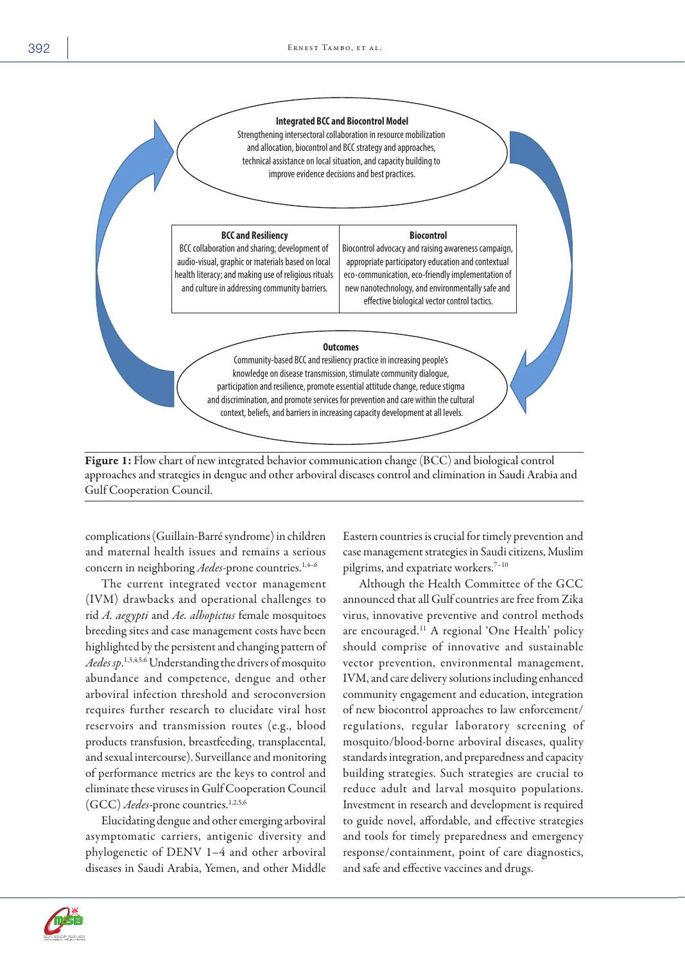

#### Figure 1: Flow chart of new integrated behavior communication change (BCC) and biological control approaches and strategies in dengue and other arboviral diseases control and elimination in Saudi Arabia and Gulf Cooperation Council.

complications (Guillain-Barré syndrome) in children and maternal health issues and remains a serious concern in neighboring *Aedes*-prone countries.<sup>1,4-6</sup>

The current integrated vector management (IVM) drawbacks and operational challenges to rid *A. aegypti* and *Ae. albopictus* female mosquitoes breeding sites and case management costs have been highlighted by the persistent and changing pattern of *Aedes sp*. 1,3,4,5,6 Understanding the drivers of mosquito abundance and competence, dengue and other arboviral infection threshold and seroconversion requires further research to elucidate viral host reservoirs and transmission routes (e.g., blood products transfusion, breastfeeding, transplacental, and sexual intercourse). Surveillance and monitoring of performance metrics are the keys to control and eliminate these viruses in Gulf Cooperation Council (GCC) *Aedes*-prone countries.<sup>1,2,5,6</sup>

Elucidating dengue and other emerging arboviral asymptomatic carriers, antigenic diversity and phylogenetic of DENV 1–4 and other arboviral diseases in Saudi Arabia, Yemen, and other Middle Eastern countries is crucial for timely prevention and case management strategies in Saudi citizens, Muslim pilgrims, and expatriate workers.<sup>7-10</sup>

Although the Health Committee of the GCC announced that all Gulf countries are free from Zika virus, innovative preventive and control methods are encouraged.11 A regional 'One Health' policy should comprise of innovative and sustainable vector prevention, environmental management, IVM, and care delivery solutions including enhanced community engagement and education, integration of new biocontrol approaches to law enforcement/ regulations, regular laboratory screening of mosquito/blood-borne arboviral diseases, quality standards integration, and preparedness and capacity building strategies. Such strategies are crucial to reduce adult and larval mosquito populations. Investment in research and development is required to guide novel, affordable, and effective strategies and tools for timely preparedness and emergency response/containment, point of care diagnostics, and safe and effective vaccines and drugs.

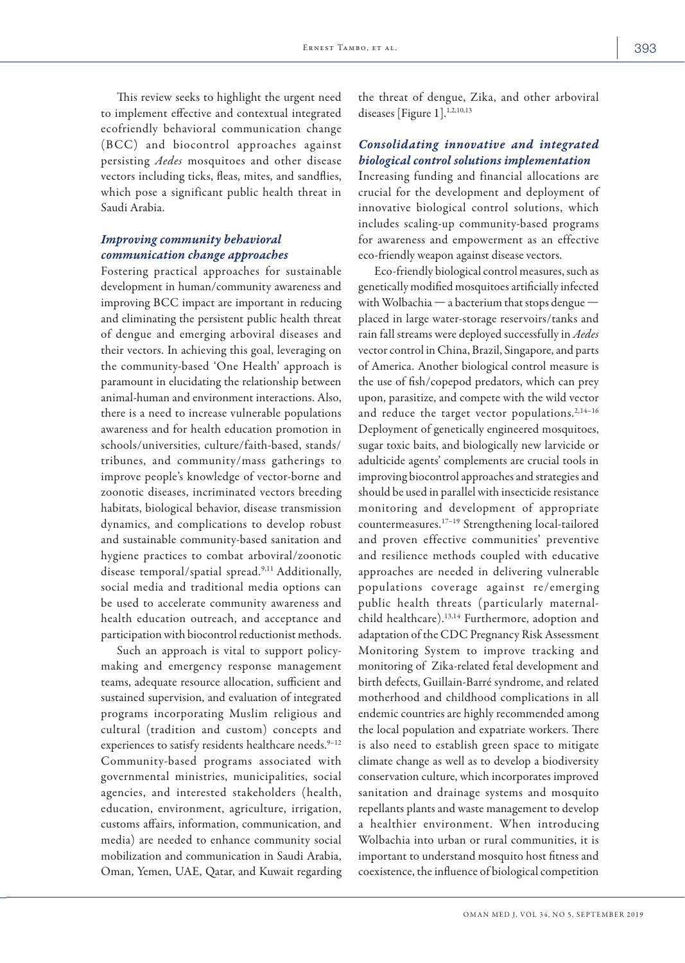This review seeks to highlight the urgent need to implement effective and contextual integrated ecofriendly behavioral communication change (BCC) and biocontrol approaches against persisting *Aedes* mosquitoes and other disease vectors including ticks, fleas, mites, and sandflies, which pose a significant public health threat in Saudi Arabia.

## *Improving community behavioral communication change approaches*

Fostering practical approaches for sustainable development in human/community awareness and improving BCC impact are important in reducing and eliminating the persistent public health threat of dengue and emerging arboviral diseases and their vectors. In achieving this goal, leveraging on the community-based 'One Health' approach is paramount in elucidating the relationship between animal-human and environment interactions. Also, there is a need to increase vulnerable populations awareness and for health education promotion in schools/universities, culture/faith-based, stands/ tribunes, and community/mass gatherings to improve people's knowledge of vector-borne and zoonotic diseases, incriminated vectors breeding habitats, biological behavior, disease transmission dynamics, and complications to develop robust and sustainable community-based sanitation and hygiene practices to combat arboviral/zoonotic disease temporal/spatial spread.9,11 Additionally, social media and traditional media options can be used to accelerate community awareness and health education outreach, and acceptance and participation with biocontrol reductionist methods.

Such an approach is vital to support policymaking and emergency response management teams, adequate resource allocation, sufficient and sustained supervision, and evaluation of integrated programs incorporating Muslim religious and cultural (tradition and custom) concepts and experiences to satisfy residents healthcare needs.<sup>9-12</sup> Community-based programs associated with governmental ministries, municipalities, social agencies, and interested stakeholders (health, education, environment, agriculture, irrigation, customs affairs, information, communication, and media) are needed to enhance community social mobilization and communication in Saudi Arabia, Oman, Yemen, UAE, Qatar, and Kuwait regarding the threat of dengue, Zika, and other arboviral diseases [Figure 1].<sup>1,2,10,13</sup>

## *Consolidating innovative and integrated biological control solutions implementation*

Increasing funding and financial allocations are crucial for the development and deployment of innovative biological control solutions, which includes scaling-up community-based programs for awareness and empowerment as an effective eco-friendly weapon against disease vectors.

Eco-friendly biological control measures, such as genetically modified mosquitoes artificially infected with Wolbachia — a bacterium that stops dengue placed in large water-storage reservoirs/tanks and rain fall streams were deployed successfully in *Aedes* vector control in China, Brazil, Singapore, and parts of America. Another biological control measure is the use of fish/copepod predators, which can prey upon, parasitize, and compete with the wild vector and reduce the target vector populations.<sup>2,14-16</sup> Deployment of genetically engineered mosquitoes, sugar toxic baits, and biologically new larvicide or adulticide agents' complements are crucial tools in improving biocontrol approaches and strategies and should be used in parallel with insecticide resistance monitoring and development of appropriate countermeasures.17–19 Strengthening local-tailored and proven effective communities' preventive and resilience methods coupled with educative approaches are needed in delivering vulnerable populations coverage against re/emerging public health threats (particularly maternalchild healthcare).13,14 Furthermore, adoption and adaptation of the CDC Pregnancy Risk Assessment Monitoring System to improve tracking and monitoring of Zika-related fetal development and birth defects, Guillain-Barré syndrome, and related motherhood and childhood complications in all endemic countries are highly recommended among the local population and expatriate workers. There is also need to establish green space to mitigate climate change as well as to develop a biodiversity conservation culture, which incorporates improved sanitation and drainage systems and mosquito repellants plants and waste management to develop a healthier environment. When introducing Wolbachia into urban or rural communities, it is important to understand mosquito host fitness and coexistence, the influence of biological competition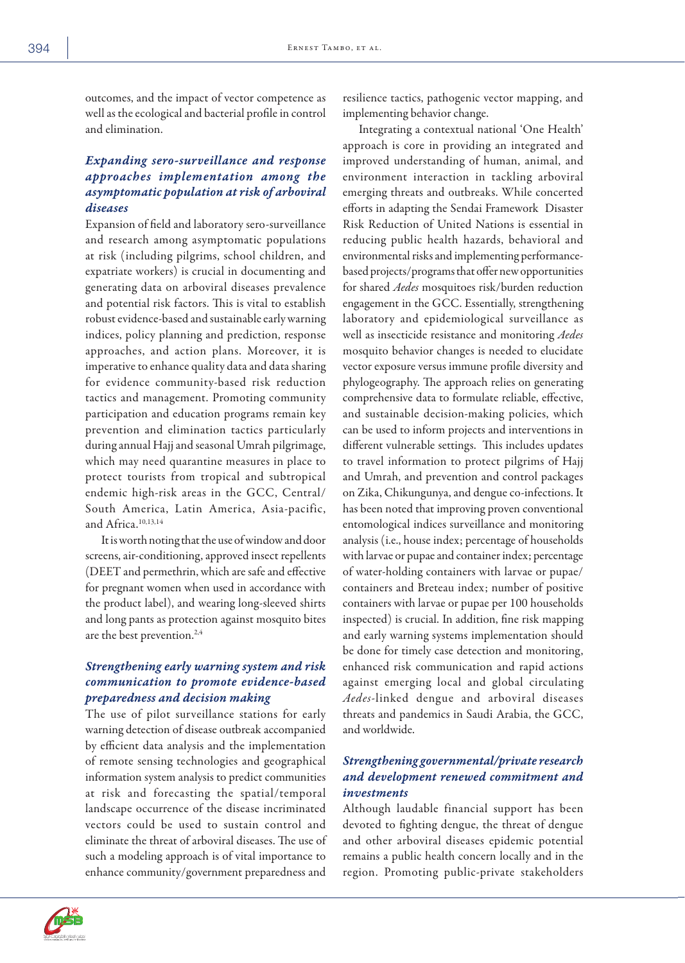outcomes, and the impact of vector competence as well as the ecological and bacterial profile in control and elimination.

# *Expanding sero-surveillance and response approaches implementation among the asymptomatic population at risk of arboviral diseases*

Expansion of field and laboratory sero-surveillance and research among asymptomatic populations at risk (including pilgrims, school children, and expatriate workers) is crucial in documenting and generating data on arboviral diseases prevalence and potential risk factors. This is vital to establish robust evidence-based and sustainable early warning indices, policy planning and prediction, response approaches, and action plans. Moreover, it is imperative to enhance quality data and data sharing for evidence community-based risk reduction tactics and management. Promoting community participation and education programs remain key prevention and elimination tactics particularly during annual Hajj and seasonal Umrah pilgrimage, which may need quarantine measures in place to protect tourists from tropical and subtropical endemic high-risk areas in the GCC, Central/ South America, Latin America, Asia-pacific, and Africa.10,13,14

It is worth noting that the use of window and door screens, air-conditioning, approved insect repellents (DEET and permethrin, which are safe and effective for pregnant women when used in accordance with the product label), and wearing long-sleeved shirts and long pants as protection against mosquito bites are the best prevention.<sup>2,4</sup>

## *Strengthening early warning system and risk communication to promote evidence-based preparedness and decision making*

The use of pilot surveillance stations for early warning detection of disease outbreak accompanied by efficient data analysis and the implementation of remote sensing technologies and geographical information system analysis to predict communities at risk and forecasting the spatial/temporal landscape occurrence of the disease incriminated vectors could be used to sustain control and eliminate the threat of arboviral diseases. The use of such a modeling approach is of vital importance to enhance community/government preparedness and

resilience tactics, pathogenic vector mapping, and implementing behavior change.

Integrating a contextual national 'One Health' approach is core in providing an integrated and improved understanding of human, animal, and environment interaction in tackling arboviral emerging threats and outbreaks. While concerted efforts in adapting the Sendai Framework Disaster Risk Reduction of United Nations is essential in reducing public health hazards, behavioral and environmental risks and implementing performancebased projects/programs that offer new opportunities for shared *Aedes* mosquitoes risk/burden reduction engagement in the GCC. Essentially, strengthening laboratory and epidemiological surveillance as well as insecticide resistance and monitoring *Aedes*  mosquito behavior changes is needed to elucidate vector exposure versus immune profile diversity and phylogeography. The approach relies on generating comprehensive data to formulate reliable, effective, and sustainable decision-making policies, which can be used to inform projects and interventions in different vulnerable settings. This includes updates to travel information to protect pilgrims of Hajj and Umrah, and prevention and control packages on Zika, Chikungunya, and dengue co-infections. It has been noted that improving proven conventional entomological indices surveillance and monitoring analysis (i.e., house index; percentage of households with larvae or pupae and container index; percentage of water-holding containers with larvae or pupae/ containers and Breteau index; number of positive containers with larvae or pupae per 100 households inspected) is crucial. In addition, fine risk mapping and early warning systems implementation should be done for timely case detection and monitoring, enhanced risk communication and rapid actions against emerging local and global circulating *Aedes*-linked dengue and arboviral diseases threats and pandemics in Saudi Arabia, the GCC, and worldwide.

# *Strengthening governmental/private research and development renewed commitment and investments*

Although laudable financial support has been devoted to fighting dengue, the threat of dengue and other arboviral diseases epidemic potential remains a public health concern locally and in the region. Promoting public-private stakeholders

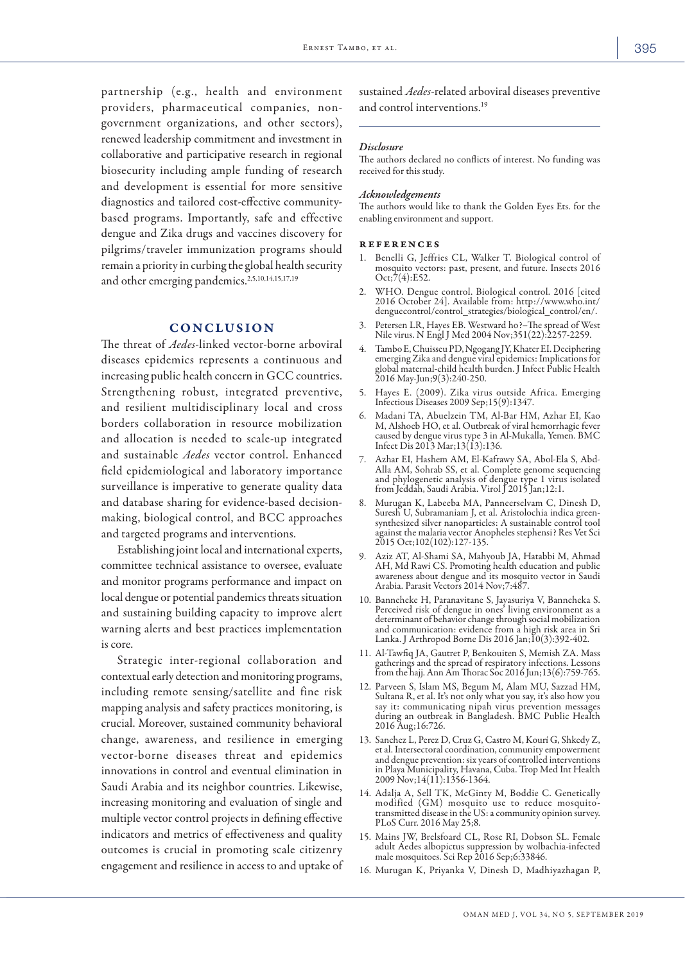partnership (e.g., health and environment providers, pharmaceutical companies, nongovernment organizations, and other sectors), renewed leadership commitment and investment in collaborative and participative research in regional biosecurity including ample funding of research and development is essential for more sensitive diagnostics and tailored cost-effective communitybased programs. Importantly, safe and effective dengue and Zika drugs and vaccines discovery for pilgrims/traveler immunization programs should remain a priority in curbing the global health security and other emerging pandemics.<sup>2,5,10,14,15,17,19</sup>

#### CONCLUSION

The threat of *Aedes*-linked vector-borne arboviral diseases epidemics represents a continuous and increasing public health concern in GCC countries. Strengthening robust, integrated preventive, and resilient multidisciplinary local and cross borders collaboration in resource mobilization and allocation is needed to scale-up integrated and sustainable *Aedes* vector control. Enhanced field epidemiological and laboratory importance surveillance is imperative to generate quality data and database sharing for evidence-based decisionmaking, biological control, and BCC approaches and targeted programs and interventions.

Establishing joint local and international experts, committee technical assistance to oversee, evaluate and monitor programs performance and impact on local dengue or potential pandemics threats situation and sustaining building capacity to improve alert warning alerts and best practices implementation is core.

Strategic inter-regional collaboration and contextual early detection and monitoring programs, including remote sensing/satellite and fine risk mapping analysis and safety practices monitoring, is crucial. Moreover, sustained community behavioral change, awareness, and resilience in emerging vector-borne diseases threat and epidemics innovations in control and eventual elimination in Saudi Arabia and its neighbor countries. Likewise, increasing monitoring and evaluation of single and multiple vector control projects in defining effective indicators and metrics of effectiveness and quality outcomes is crucial in promoting scale citizenry engagement and resilience in access to and uptake of sustained *Aedes*-related arboviral diseases preventive and control interventions.<sup>19</sup>

#### *Disclosure*

The authors declared no conflicts of interest. No funding was received for this study.

#### *Acknowledgements*

The authors would like to thank the Golden Eyes Ets. for the enabling environment and support.

#### references

- 1. Benelli G, Jeffries CL, Walker T. Biological control of mosquito vectors: past, present, and future. Insects 2016  $Oct; 7(4): E52.$
- 2. WHO. Dengue control. Biological control. 2016 [cited 2016 October 24]. Available from: http://www.who.int/ denguecontrol/control\_strategies/biological\_control/en/.
- 3. Petersen LR, Hayes EB. Westward ho?–The spread of West Nile virus. N Engl J Med 2004 Nov;351(22):2257-2259.
- 4. Tambo E, Chuisseu PD, Ngogang JY, Khater EI. Deciphering emerging Zika and dengue viral epidemics: Implications for global maternal-child health burden. J Infect Public Health 2016 May-Jun;9(3):240-250.
- 5. Hayes E. (2009). Zika virus outside Africa. Emerging Infectious Diseases 2009 Sep;15(9):1347.
- 6. Madani TA, Abuelzein TM, Al-Bar HM, Azhar EI, Kao M, Alshoeb HO, et al. Outbreak of viral hemorrhagic fever caused by dengue virus type 3 in Al-Mukalla, Yemen. BMC Infect Dis 2013 Mar;13(13):136.
- 7. Azhar EI, Hashem AM, El-Kafrawy SA, Abol-Ela S, Abd-Alla AM, Sohrab SS, et al. Complete genome sequencing and phylogenetic analysis of dengue type 1 virus isolated from Jeddah, Saudi Arabia. Virol J 2015 Jan;12:1.
- 8. Murugan K, Labeeba MA, Panneerselvam C, Dinesh D, Suresh U, Subramaniam J, et al. Aristolochia indica greensynthesized silver nanoparticles: A sustainable control tool against the malaria vector Anopheles stephensi? Res Vet Sci 2015 Oct;102(102):127-135.
- 9. Aziz AT, Al-Shami SA, Mahyoub JA, Hatabbi M, Ahmad AH, Md Rawi CS. Promoting health education and public awareness about dengue and its mosquito vector in Saudi Arabia. Parasit Vectors 2014 Nov;7:487.
- 10. Banneheke H, Paranavitane S, Jayasuriya V, Banneheka S. Perceived risk of dengue in ones' living environment as a determinant of behavior change through social mobilization and communication: evidence from a high risk area in Sri Lanka. J Arthropod Borne Dis 2016 Jan;10(3):392-402.
- 11. Al-Tawfiq JA, Gautret P, Benkouiten S, Memish ZA. Mass from the hajj. Ann Am Thorac Soc 2016 Jun;13(6):759-765.
- 12. Parveen S, Islam MS, Begum M, Alam MU, Sazzad HM, Sultana R, et al. It's not only what you say, it's also how you say it: communicating nipah virus prevention messages during an outbreak in Bangladesh. BMC Public Health 2016 Aug;16:726.
- 13. Sanchez L, Perez D, Cruz G, Castro M, Kourí G, Shkedy Z, et al. Intersectoral coordination, community empowerment and dengue prevention: six years of controlled interventions in Playa Municipality, Havana, Cuba. Trop Med Int Health 2009 Nov;14(11):1356-1364.
- 14. Adalja A, Sell TK, McGinty M, Boddie C. Genetically modified (GM) mosquito use to reduce mosquitotransmitted disease in the US: a community opinion survey. PLoS Curr. 2016 May 25;8.
- 15. Mains JW, Brelsfoard CL, Rose RI, Dobson SL. Female adult Aedes albopictus suppression by wolbachia-infected male mosquitoes. Sci Rep 2016 Sep;6:33846.
- 16. Murugan K, Priyanka V, Dinesh D, Madhiyazhagan P,